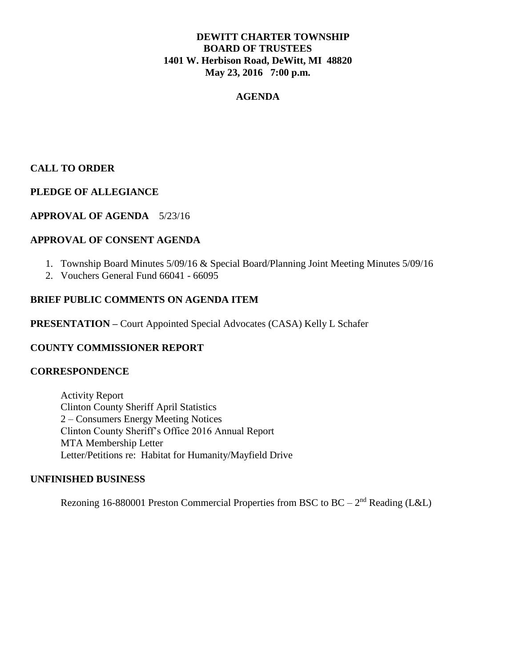## **DEWITT CHARTER TOWNSHIP BOARD OF TRUSTEES 1401 W. Herbison Road, DeWitt, MI 48820 May 23, 2016 7:00 p.m.**

### **AGENDA**

# **CALL TO ORDER**

### **PLEDGE OF ALLEGIANCE**

## **APPROVAL OF AGENDA** 5/23/16

#### **APPROVAL OF CONSENT AGENDA**

- 1. Township Board Minutes 5/09/16 & Special Board/Planning Joint Meeting Minutes 5/09/16
- 2. Vouchers General Fund 66041 66095

#### **BRIEF PUBLIC COMMENTS ON AGENDA ITEM**

**PRESENTATION –** Court Appointed Special Advocates (CASA) Kelly L Schafer

## **COUNTY COMMISSIONER REPORT**

#### **CORRESPONDENCE**

Activity Report Clinton County Sheriff April Statistics 2 – Consumers Energy Meeting Notices Clinton County Sheriff's Office 2016 Annual Report MTA Membership Letter Letter/Petitions re: Habitat for Humanity/Mayfield Drive

#### **UNFINISHED BUSINESS**

Rezoning 16-880001 Preston Commercial Properties from BSC to BC  $-2<sup>nd</sup>$  Reading (L&L)